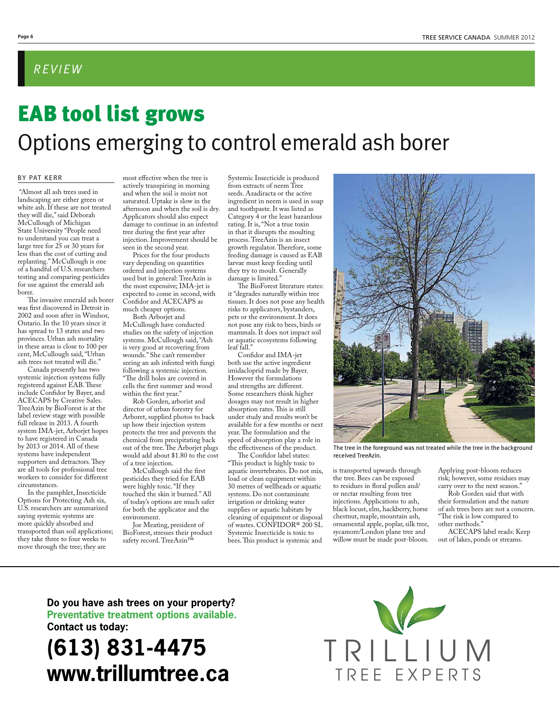#### *REVIEW*

# EAB tool list grows Options emerging to control emerald ash borer

#### BY PAT KERR

 "Almost all ash trees used in landscaping are either green or white ash. If these are not treated they will die," said Deborah McCullough of Michigan State University "People need to understand you can treat a large tree for 25 or 30 years for less than the cost of cutting and replanting." McCullough is one of a handful of U.S. researchers testing and comparing pesticides for use against the emerald ash borer.

The invasive emerald ash borer was first discovered in Detroit in 2002 and soon after in Windsor, Ontario. In the 10 years since it has spread to 13 states and two provinces. Urban ash mortality in these areas is close to 100 per cent, McCullough said, "Urban ash trees not treated will die."

Canada presently has two systemic injection systems fully registered against EAB. These include Confidor by Bayer, and ACECAPS by Creative Sales. TreeAzin by BioForest is at the label review stage with possible full release in 2013. A fourth system IMA-jet, Arborjet hopes to have registered in Canada by 2013 or 2014. All of these systems have independent supporters and detractors. They are all tools for professional tree workers to consider for different circumstances.

In the pamphlet, Insecticide Options for Protecting Ash six, U.S. researchers are summarized saying systemic systems are more quickly absorbed and transported than soil applications; they take three to four weeks to move through the tree; they are

most effective when the tree is actively transpiring in morning and when the soil is moist not saturated. Uptake is slow in the afternoon and when the soil is dry. Applicators should also expect damage to continue in an infested tree during the first year after injection. Improvement should be seen in the second year.

Prices for the four products vary depending on quantities ordered and injection systems used but in general: TreeAzin is the most expensive; IMA-jet is expected to come in second, with Confidor and ACECAPS as much cheaper options.

Both Arborjet and McCullough have conducted studies on the safety of injection systems. McCullough said, "Ash is very good at recovering from wounds." She can't remember seeing an ash infested with fungi following a systemic injection. "The drill holes are covered in cells the first summer and wood

within the first year." Rob Gorden, arborist and

director of urban forestry for Arboret, supplied photos to back up how their injection system protects the tree and prevents the chemical from precipitating back out of the tree. The Arborjet plugs would add about \$1.80 to the cost of a tree injection.

McCullough said the first pesticides they tried for EAB were highly toxic. "If they touched the skin it burned." All of today's options are much safer for both the applicator and the environment.

Joe Meating, president of BioForest, stresses their product safety record. TreeAzin<sup>™</sup>

Systemic Insecticide is produced from extracts of neem Tree seeds. Azadiracta or the active ingredient in neem is used in soap and toothpaste. It was listed as Category 4 or the least hazardous rating. It is, "Not a true toxin in that it disrupts the moulting process. TreeAzin is an insect growth regulator. Therefore, some feeding damage is caused as EAB larvae must keep feeding until they try to moult. Generally damage is limited."

The BioForest literature states: it "degrades naturally within tree tissues. It does not pose any health risks to applicators, bystanders, pets or the environment. It does not pose any risk to bees, birds or mammals. It does not impact soil or aquatic ecosystems following leaf fall."

Confidor and IMA-jet both use the active ingredient imidacloprid made by Bayer. However the formulations and strengths are different. Some researchers think higher dosages may not result in higher absorption rates. This is still under study and results won't be available for a few months or next year. The formulation and the speed of absorption play a role in the effectiveness of the product.

The Confidor label states: "This product is highly toxic to aquatic invertebrates. Do not mix, load or clean equipment within 30 metres of wellheads or aquatic systems. Do not contaminate irrigation or drinking water supplies or aquatic habitats by cleaning of equipment or disposal of wastes. CONFIDOR® 200 SL Systemic Insecticide is toxic to bees. This product is systemic and



The tree in the foreground was not treated while the tree in the background received TreeAzin.

is transported upwards through the tree. Bees can be exposed to residues in floral pollen and/ or nectar resulting from tree injections. Applications to ash, black locust, elm, hackberry, horse chestnut, maple, mountain ash, ornamental apple, poplar, silk tree, sycamore/London plane tree and willow must be made post-bloom.

Applying post-bloom reduces risk; however, some residues may carry over to the next season."

Rob Gorden said that with their formulation and the nature of ash trees bees are not a concern. "The risk is low compared to other methods."

ACECAPS label reads: Keep out of lakes, ponds or streams.

**Do you have ash trees on your property? Preventative treatment options available. Contact us today:**

## **(613) 831-4475 www.trillumtree.ca**